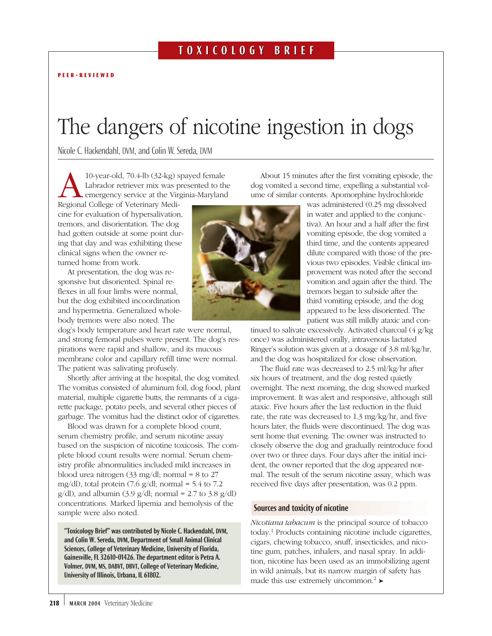# The dangers of nicotine ingestion in dogs

Nicole C. Hackendahl, DVM, and Colin W. Sereda, DVM

10-year-old, 70.4-lb (32-kg) spayed female<br>Labrador retriever mix was presented to the<br>emergency service at the Virginia-Marylane<br>Regional College of Veterinary Medi-Labrador retriever mix was presented to the emergency service at the Virginia-Maryland

Regional College of Veterinary Medicine for evaluation of hypersalivation, tremors, and disorientation. The dog had gotten outside at some point during that day and was exhibiting these clinical signs when the owner returned home from work.

At presentation, the dog was responsive but disoriented. Spinal reflexes in all four limbs were normal, but the dog exhibited incoordination and hypermetria. Generalized wholebody tremors were also noted. The

dog's body temperature and heart rate were normal, and strong femoral pulses were present. The dog's respirations were rapid and shallow, and its mucous membrane color and capillary refill time were normal. The patient was salivating profusely.

Shortly after arriving at the hospital, the dog vomited. The vomitus consisted of aluminum foil, dog food, plant material, multiple cigarette butts, the remnants of a cigarette package, potato peels, and several other pieces of garbage. The vomitus had the distinct odor of cigarettes.

Blood was drawn for a complete blood count, serum chemistry profile, and serum nicotine assay based on the suspicion of nicotine toxicosis. The complete blood count results were normal. Serum chemistry profile abnormalities included mild increases in blood urea nitrogen (33 mg/dl; normal = 8 to 27 mg/dl), total protein  $(7.6 \text{ g}/\text{d}l;$  normal = 5.4 to  $7.2$  $g/dl$ ), and albumin (3.9  $g/dl$ ; normal = 2.7 to 3.8  $g/dl$ ) concentrations. Marked lipemia and hemolysis of the sample were also noted.

"Toxicology Brief" was contributed by Nicole C. Hackendahl, DVM, and Colin W. Sereda, DVM, Department of Small Animal Clinical Sciences, College of Veterinary Medicine, University of Florida, Gainesville, FL 32610-01426. The department editor is Petra A. Volmer, DVM, MS, DABVT, DBVT, College of Veterinary Medicine, University of Illinois, Urbana, IL 61802.

About 15 minutes after the first vomiting episode, the dog vomited a second time, expelling a substantial volume of similar contents. Apomorphine hydrochloride was administered (0.25 mg dissolved

in water and applied to the conjunctiva). An hour and a half after the first vomiting episode, the dog vomited a third time, and the contents appeared dilute compared with those of the previous two episodes. Visible clinical improvement was noted after the second vomition and again after the third. The tremors began to subside after the third vomiting episode, and the dog appeared to be less disoriented. The patient was still mildly ataxic and con-

tinued to salivate excessively. Activated charcoal (4 g/kg once) was administered orally, intravenous lactated Ringer's solution was given at a dosage of 3.8 ml/kg/hr, and the dog was hospitalized for close observation.

The fluid rate was decreased to 2.5 ml/kg/hr after six hours of treatment, and the dog rested quietly overnight. The next morning, the dog showed marked improvement. It was alert and responsive, although still ataxic. Five hours after the last reduction in the fluid rate, the rate was decreased to 1.3 mg/kg/hr, and five hours later, the fluids were discontinued. The dog was sent home that evening. The owner was instructed to closely observe the dog and gradually reintroduce food over two or three days. Four days after the initial incident, the owner reported that the dog appeared normal. The result of the serum nicotine assay, which was received five days after presentation, was 0.2 ppm.

# Sources and toxicity of nicotine

*Nicotiana tabacum* is the principal source of tobacco today.1 Products containing nicotine include cigarettes, cigars, chewing tobacco, snuff, insecticides, and nicotine gum, patches, inhalers, and nasal spray. In addition, nicotine has been used as an immobilizing agent in wild animals, but its narrow margin of safety has made this use extremely uncommon.<sup>2</sup>  $\blacktriangleright$ 

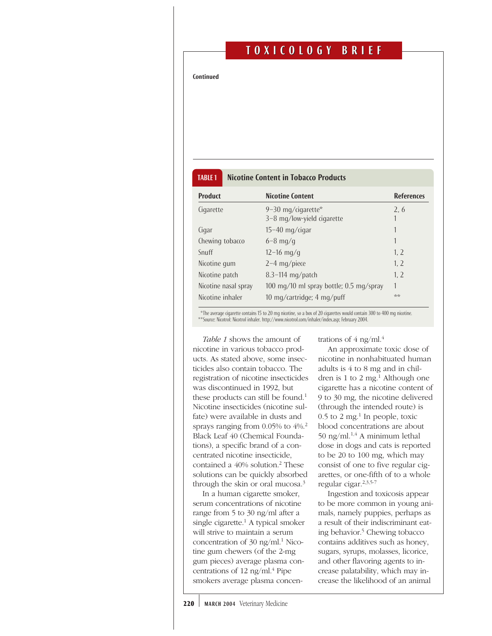# T O XICOLOGY BRIEF XICOLOGY BRIEF

Continued

# TABLE 1 Nicotine Content in Tobacco Products

| <b>Product</b>       | <b>Nicotine Content</b>                          | <b>References</b> |
|----------------------|--------------------------------------------------|-------------------|
| Cigarette            | 9-30 mg/cigarette*<br>3-8 mg/low-yield cigarette | 2.6               |
| Cigar                | $15-40$ mg/cigar                                 | 1                 |
| Chewing tobacco      | $6 - 8$ mg/g                                     | 1                 |
| Snuff                | $12 - 16$ mg/g                                   | 1, 2              |
| Nicotine gum         | $2-4$ mg/piece                                   | 1, 2              |
| Nicotine patch       | $8.3-114$ mg/patch                               | 1.2               |
| Nicotine nasal spray | 100 mg/10 ml spray bottle; 0.5 mg/spray          | 1                 |
| Nicotine inhaler     | 10 mg/cartridge; $4 \text{ mg}/\text{puff}$      | **                |

\*The average cigarette contains 15 to 20 mg nicotine, so a box of 20 cigarettes would contain 300 to 400 mg nicotine. \*\*Source: Nicotrol: Nicotrol inhaler. http://www.nicotrol.com/inhaler/index.asp; February 2004.

*Table 1* shows the amount of nicotine in various tobacco products. As stated above, some insecticides also contain tobacco. The registration of nicotine insecticides was discontinued in 1992, but these products can still be found.<sup>1</sup> Nicotine insecticides (nicotine sulfate) were available in dusts and sprays ranging from 0.05% to 4%.2 Black Leaf 40 (Chemical Foundations), a specific brand of a concentrated nicotine insecticide, contained a 40% solution.<sup>2</sup> These solutions can be quickly absorbed through the skin or oral mucosa.3

In a human cigarette smoker, serum concentrations of nicotine range from 5 to 30 ng/ml after a single cigarette.<sup>1</sup> A typical smoker will strive to maintain a serum concentration of 30 ng/m $l$ .<sup>1</sup> Nicotine gum chewers (of the 2-mg gum pieces) average plasma concentrations of 12 ng/ml. $4$  Pipe smokers average plasma concentrations of  $4$  ng/ml. $4$ 

An approximate toxic dose of nicotine in nonhabituated human adults is 4 to 8 mg and in children is 1 to 2 mg $<sup>1</sup>$  Although one</sup> cigarette has a nicotine content of 9 to 30 mg, the nicotine delivered (through the intended route) is  $0.5$  to 2 mg.<sup>1</sup> In people, toxic blood concentrations are about 50 ng/ml. $^{1,4}$  A minimum lethal dose in dogs and cats is reported to be 20 to 100 mg, which may consist of one to five regular cigarettes, or one-fifth of to a whole regular cigar.2,3,5-7

Ingestion and toxicosis appear to be more common in young animals, namely puppies, perhaps as a result of their indiscriminant eating behavior.5 Chewing tobacco contains additives such as honey, sugars, syrups, molasses, licorice, and other flavoring agents to increase palatability, which may increase the likelihood of an animal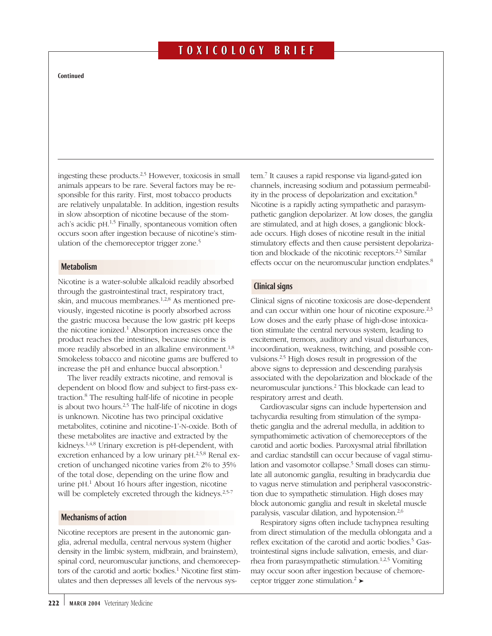# T O XICOLOGY BRIEF XICOLOGY BRIEF

#### Continued

ingesting these products. $2,5$  However, toxicosis in small animals appears to be rare. Several factors may be responsible for this rarity. First, most tobacco products are relatively unpalatable. In addition, ingestion results in slow absorption of nicotine because of the stomach's acidic pH.<sup>1,5</sup> Finally, spontaneous vomition often occurs soon after ingestion because of nicotine's stimulation of the chemoreceptor trigger zone.<sup>5</sup>

#### **Metabolism**

Nicotine is a water-soluble alkaloid readily absorbed through the gastrointestinal tract, respiratory tract, skin, and mucous membranes.<sup>1,2,8</sup> As mentioned previously, ingested nicotine is poorly absorbed across the gastric mucosa because the low gastric pH keeps the nicotine ionized.<sup>1</sup> Absorption increases once the product reaches the intestines, because nicotine is more readily absorbed in an alkaline environment.<sup>1,8</sup> Smokeless tobacco and nicotine gums are buffered to increase the pH and enhance buccal absorption.<sup>1</sup>

The liver readily extracts nicotine, and removal is dependent on blood flow and subject to first-pass extraction.8 The resulting half-life of nicotine in people is about two hours.<sup>2,5</sup> The half-life of nicotine in dogs is unknown. Nicotine has two principal oxidative metabolites, cotinine and nicotine-1'-N-oxide. Both of these metabolites are inactive and extracted by the kidneys.1,4,8 Urinary excretion is pH-dependent, with excretion enhanced by a low urinary pH.<sup>2,5,8</sup> Renal excretion of unchanged nicotine varies from 2% to 35% of the total dose, depending on the urine flow and urine pH. <sup>1</sup> About 16 hours after ingestion, nicotine will be completely excreted through the kidneys.<sup>2,5-7</sup>

## Mechanisms of action

Nicotine receptors are present in the autonomic ganglia, adrenal medulla, central nervous system (higher density in the limbic system, midbrain, and brainstem), spinal cord, neuromuscular junctions, and chemoreceptors of the carotid and aortic bodies.<sup>1</sup> Nicotine first stimulates and then depresses all levels of the nervous system.7 It causes a rapid response via ligand-gated ion channels, increasing sodium and potassium permeability in the process of depolarization and excitation.8 Nicotine is a rapidly acting sympathetic and parasympathetic ganglion depolarizer. At low doses, the ganglia are stimulated, and at high doses, a ganglionic blockade occurs. High doses of nicotine result in the initial stimulatory effects and then cause persistent depolarization and blockade of the nicotinic receptors.<sup>2,3</sup> Similar effects occur on the neuromuscular junction endplates.<sup>8</sup>

### Clinical signs

Clinical signs of nicotine toxicosis are dose-dependent and can occur within one hour of nicotine exposure.<sup>2,3</sup> Low doses and the early phase of high-dose intoxication stimulate the central nervous system, leading to excitement, tremors, auditory and visual disturbances, incoordination, weakness, twitching, and possible convulsions.2,5 High doses result in progression of the above signs to depression and descending paralysis associated with the depolarization and blockade of the neuromuscular junctions.2 This blockade can lead to respiratory arrest and death.

Cardiovascular signs can include hypertension and tachycardia resulting from stimulation of the sympathetic ganglia and the adrenal medulla, in addition to sympathomimetic activation of chemoreceptors of the carotid and aortic bodies. Paroxysmal atrial fibrillation and cardiac standstill can occur because of vagal stimulation and vasomotor collapse.<sup>5</sup> Small doses can stimulate all autonomic ganglia, resulting in bradycardia due to vagus nerve stimulation and peripheral vasoconstriction due to sympathetic stimulation. High doses may block autonomic ganglia and result in skeletal muscle paralysis, vascular dilation, and hypotension.<sup>2,6</sup>

Respiratory signs often include tachypnea resulting from direct stimulation of the medulla oblongata and a reflex excitation of the carotid and aortic bodies.<sup>5</sup> Gastrointestinal signs include salivation, emesis, and diarrhea from parasympathetic stimulation.<sup>1,2,5</sup> Vomiting may occur soon after ingestion because of chemoreceptor trigger zone stimulation.<sup>2</sup>  $\blacktriangleright$